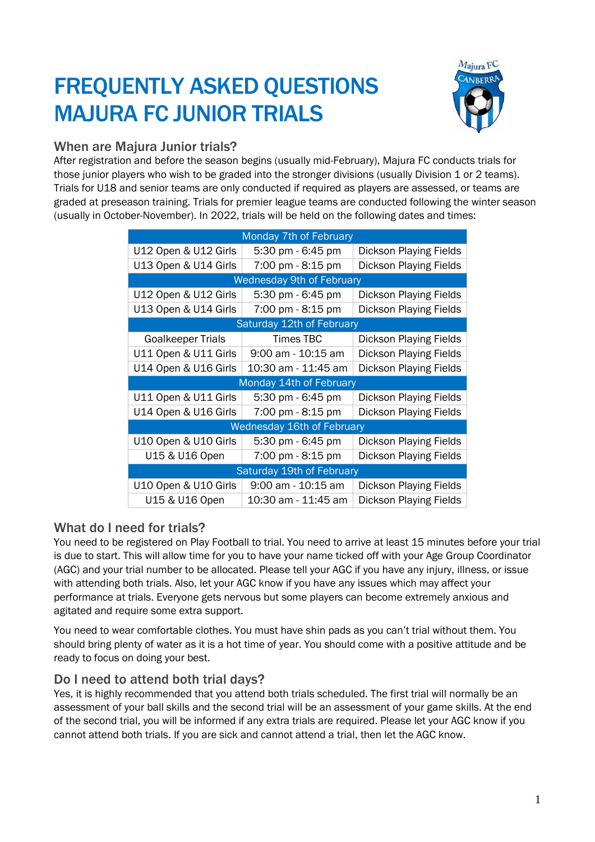# FREQUENTLY ASKED QUESTIONS MAJURA FC JUNIOR TRIALS



## When are Majura Junior trials?

After registration and before the season begins (usually mid-February), Majura FC conducts trials for those junior players who wish to be graded into the stronger divisions (usually Division 1 or 2 teams). Trials for U18 and senior teams are only conducted if required as players are assessed, or teams are graded at preseason training. Trials for premier league teams are conducted following the winter season (usually in October-November). In 2022, trials will be held on the following dates and times:

| Monday 7th of February            |                     |                               |
|-----------------------------------|---------------------|-------------------------------|
| U12 Open & U12 Girls              | 5:30 pm - 6:45 pm   | <b>Dickson Playing Fields</b> |
| U13 Open & U14 Girls              | 7:00 pm - 8:15 pm   | Dickson Playing Fields        |
| <b>Wednesday 9th of February</b>  |                     |                               |
| U12 Open & U12 Girls              | 5:30 pm - 6:45 pm   | <b>Dickson Playing Fields</b> |
| U13 Open & U14 Girls              | 7:00 pm - 8:15 pm   | <b>Dickson Playing Fields</b> |
| Saturday 12th of February         |                     |                               |
| <b>Goalkeeper Trials</b>          | Times TBC           | Dickson Playing Fields        |
| U11 Open & U11 Girls              | 9:00 am - 10:15 am  | <b>Dickson Playing Fields</b> |
| U14 Open & U16 Girls              | 10:30 am - 11:45 am | <b>Dickson Playing Fields</b> |
| Monday 14th of February           |                     |                               |
| U11 Open & U11 Girls              | 5:30 pm - 6:45 pm   | <b>Dickson Playing Fields</b> |
| U14 Open & U16 Girls              | 7:00 pm - 8:15 pm   | <b>Dickson Playing Fields</b> |
| <b>Wednesday 16th of February</b> |                     |                               |
| U10 Open & U10 Girls              | 5:30 pm - 6:45 pm   | Dickson Playing Fields        |
| U15 & U16 Open                    | 7:00 pm - 8:15 pm   | <b>Dickson Playing Fields</b> |
| Saturday 19th of February         |                     |                               |
| U10 Open & U10 Girls              | 9:00 am - 10:15 am  | <b>Dickson Playing Fields</b> |
| U15 & U16 Open                    | 10:30 am - 11:45 am | <b>Dickson Playing Fields</b> |

## What do I need for trials?

You need to be registered on Play Football to trial. You need to arrive at least 15 minutes before your trial is due to start. This will allow time for you to have your name ticked off with your Age Group Coordinator (AGC) and your trial number to be allocated. Please tell your AGC if you have any injury, illness, or issue with attending both trials. Also, let your AGC know if you have any issues which may affect your performance at trials. Everyone gets nervous but some players can become extremely anxious and agitated and require some extra support.

You need to wear comfortable clothes. You must have shin pads as you can't trial without them. You should bring plenty of water as it is a hot time of year. You should come with a positive attitude and be ready to focus on doing your best.

## Do I need to attend both trial days?

Yes, it is highly recommended that you attend both trials scheduled. The first trial will normally be an assessment of your ball skills and the second trial will be an assessment of your game skills. At the end of the second trial, you will be informed if any extra trials are required. Please let your AGC know if you cannot attend both trials. If you are sick and cannot attend a trial, then let the AGC know.